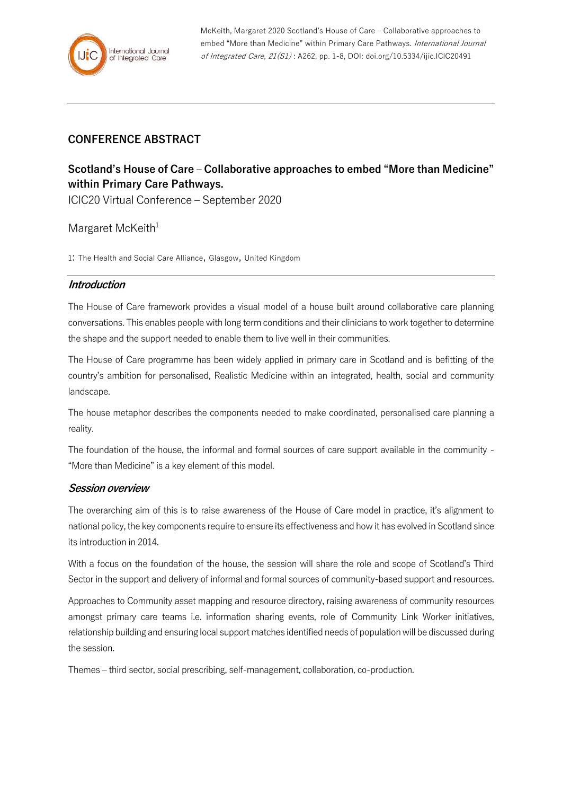McKeith, Margaret 2020 Scotland's House of Care – Collaborative approaches to embed "More than Medicine" within Primary Care Pathways. International Journal of Integrated Care, 21(S1) : A262, pp. 1-8, DOI: doi.org/10.5334/ijic.ICIC20491

## **CONFERENCE ABSTRACT**

# **Scotland's House of Care – Collaborative approaches to embed "More than Medicine" within Primary Care Pathways.**

ICIC20 Virtual Conference – September 2020

### Margaret McKeith<sup>1</sup>

1: The Health and Social Care Alliance, Glasgow, United Kingdom

#### **Introduction**

The House of Care framework provides a visual model of a house built around collaborative care planning conversations. This enables people with long term conditions and their clinicians to work together to determine the shape and the support needed to enable them to live well in their communities.

The House of Care programme has been widely applied in primary care in Scotland and is befitting of the country's ambition for personalised, Realistic Medicine within an integrated, health, social and community landscape.

The house metaphor describes the components needed to make coordinated, personalised care planning a reality.

The foundation of the house, the informal and formal sources of care support available in the community - "More than Medicine" is a key element of this model.

#### **Session overview**

The overarching aim of this is to raise awareness of the House of Care model in practice, it's alignment to national policy, the key components require to ensure its effectiveness and how it has evolved in Scotland since its introduction in 2014.

With a focus on the foundation of the house, the session will share the role and scope of Scotland's Third Sector in the support and delivery of informal and formal sources of community-based support and resources.

Approaches to Community asset mapping and resource directory, raising awareness of community resources amongst primary care teams i.e. information sharing events, role of Community Link Worker initiatives, relationship building and ensuring local support matches identified needs of population will be discussed during the session.

Themes – third sector, social prescribing, self-management, collaboration, co-production.